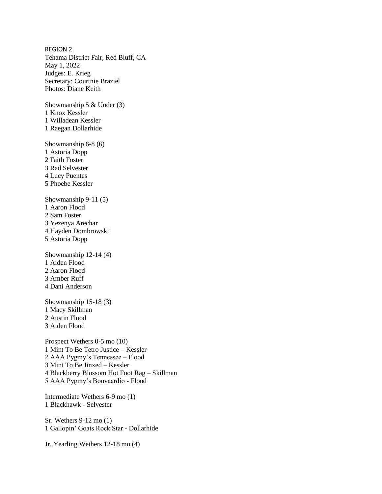REGION 2 Tehama District Fair, Red Bluff, CA May 1, 2022 Judges: E. Krieg Secretary: Courtnie Braziel Photos: Diane Keith

Showmanship 5 & Under (3) 1 Knox Kessler 1 Willadean Kessler 1 Raegan Dollarhide

Showmanship 6-8 (6) 1 Astoria Dopp 2 Faith Foster 3 Rad Selvester 4 Lucy Puentes 5 Phoebe Kessler

Showmanship 9-11 (5) 1 Aaron Flood 2 Sam Foster 3 Yezenya Arechar 4 Hayden Dombrowski 5 Astoria Dopp

Showmanship 12-14 (4) 1 Aiden Flood 2 Aaron Flood 3 Amber Ruff 4 Dani Anderson

Showmanship 15-18 (3) 1 Macy Skillman 2 Austin Flood 3 Aiden Flood

Prospect Wethers 0-5 mo (10) 1 Mint To Be Tetro Justice – Kessler 2 AAA Pygmy's Tennessee – Flood 3 Mint To Be Jinxed – Kessler 4 Blackberry Blossom Hot Foot Rag – Skillman 5 AAA Pygmy's Bouvaardio - Flood

Intermediate Wethers 6-9 mo (1) 1 Blackhawk - Selvester

Sr. Wethers 9-12 mo (1) 1 Gallopin' Goats Rock Star - Dollarhide

Jr. Yearling Wethers 12-18 mo (4)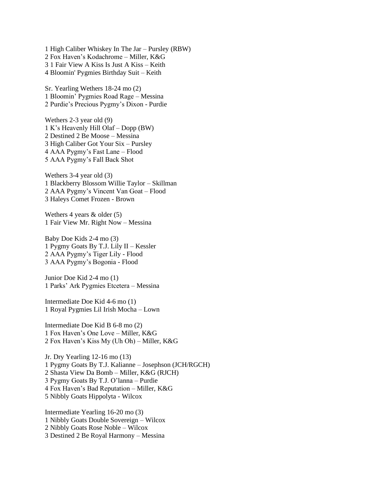1 High Caliber Whiskey In The Jar – Pursley (RBW) 2 Fox Haven's Kodachrome – Miller, K&G 3 1 Fair View A Kiss Is Just A Kiss – Keith 4 Bloomin' Pygmies Birthday Suit – Keith

Sr. Yearling Wethers 18-24 mo (2) 1 Bloomin' Pygmies Road Rage – Messina 2 Purdie's Precious Pygmy's Dixon - Purdie

Wethers 2-3 year old (9) 1 K's Heavenly Hill Olaf – Dopp (BW) 2 Destined 2 Be Moose – Messina 3 High Caliber Got Your Six – Pursley 4 AAA Pygmy's Fast Lane – Flood 5 AAA Pygmy's Fall Back Shot

Wethers 3-4 year old (3) 1 Blackberry Blossom Willie Taylor – Skillman 2 AAA Pygmy's Vincent Van Goat – Flood 3 Haleys Comet Frozen - Brown

Wethers 4 years & older (5) 1 Fair View Mr. Right Now – Messina

Baby Doe Kids 2-4 mo (3) 1 Pygmy Goats By T.J. Lily II – Kessler 2 AAA Pygmy's Tiger Lily - Flood 3 AAA Pygmy's Bogonia - Flood

Junior Doe Kid 2-4 mo (1) 1 Parks' Ark Pygmies Etcetera – Messina

Intermediate Doe Kid 4-6 mo (1) 1 Royal Pygmies Lil Irish Mocha – Lown

Intermediate Doe Kid B 6-8 mo (2) 1 Fox Haven's One Love – Miller, K&G 2 Fox Haven's Kiss My (Uh Oh) – Miller, K&G

Jr. Dry Yearling 12-16 mo (13) 1 Pygmy Goats By T.J. Kalianne – Josephson (JCH/RGCH) 2 Shasta View Da Bomb – Miller, K&G (RJCH) 3 Pygmy Goats By T.J. O'lanna – Purdie 4 Fox Haven's Bad Reputation – Miller, K&G 5 Nibbly Goats Hippolyta - Wilcox

Intermediate Yearling 16-20 mo (3) 1 Nibbly Goats Double Sovereign – Wilcox 2 Nibbly Goats Rose Noble – Wilcox 3 Destined 2 Be Royal Harmony – Messina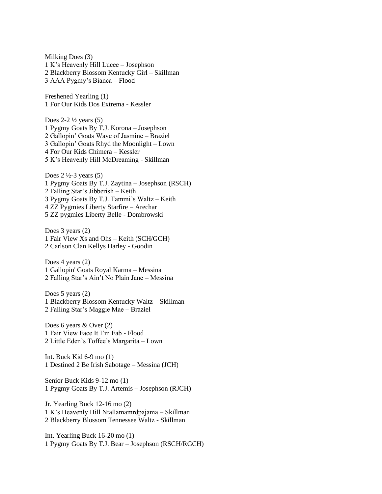Milking Does (3) 1 K's Heavenly Hill Lucee – Josephson 2 Blackberry Blossom Kentucky Girl – Skillman 3 AAA Pygmy's Bianca – Flood

Freshened Yearling (1) 1 For Our Kids Dos Extrema - Kessler

Does  $2-2\frac{1}{2}$  years (5) 1 Pygmy Goats By T.J. Korona – Josephson 2 Gallopin' Goats Wave of Jasmine – Braziel 3 Gallopin' Goats Rhyd the Moonlight – Lown 4 For Our Kids Chimera – Kessler 5 K's Heavenly Hill McDreaming - Skillman

Does  $2 \frac{1}{2} - 3$  years (5) 1 Pygmy Goats By T.J. Zaytina – Josephson (RSCH) 2 Falling Star's Jibberish – Keith 3 Pygmy Goats By T.J. Tammi's Waltz – Keith 4 ZZ Pygmies Liberty Starfire – Arechar 5 ZZ pygmies Liberty Belle - Dombrowski

Does 3 years (2) 1 Fair View Xs and Ohs – Keith (SCH/GCH) 2 Carlson Clan Kellys Harley - Goodin

Does 4 years (2) 1 Gallopin' Goats Royal Karma – Messina 2 Falling Star's Ain't No Plain Jane – Messina

Does 5 years (2) 1 Blackberry Blossom Kentucky Waltz – Skillman 2 Falling Star's Maggie Mae – Braziel

Does 6 years & Over (2) 1 Fair View Face It I'm Fab - Flood 2 Little Eden's Toffee's Margarita – Lown

Int. Buck Kid 6-9 mo (1) 1 Destined 2 Be Irish Sabotage – Messina (JCH)

Senior Buck Kids 9-12 mo (1) 1 Pygmy Goats By T.J. Artemis – Josephson (RJCH)

Jr. Yearling Buck 12-16 mo (2) 1 K's Heavenly Hill Ntallamamrdpajama – Skillman 2 Blackberry Blossom Tennessee Waltz - Skillman

Int. Yearling Buck 16-20 mo (1) 1 Pygmy Goats By T.J. Bear – Josephson (RSCH/RGCH)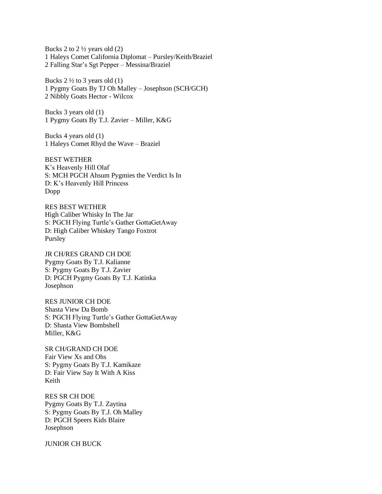Bucks 2 to  $2\frac{1}{2}$  years old (2) 1 Haleys Comet California Diplomat – Pursley/Keith/Braziel 2 Falling Star's Sgt Pepper – Messina/Braziel

Bucks  $2\frac{1}{2}$  to 3 years old (1) 1 Pygmy Goats By TJ Oh Malley – Josephson (SCH/GCH) 2 Nibbly Goats Hector - Wilcox

Bucks 3 years old (1) 1 Pygmy Goats By T.J. Zavier – Miller, K&G

Bucks 4 years old (1) 1 Haleys Comet Rhyd the Wave – Braziel

BEST WETHER K's Heavenly Hill Olaf S: MCH PGCH Ahsum Pygmies the Verdict Is In D: K's Heavenly Hill Princess Dopp

RES BEST WETHER High Caliber Whisky In The Jar S: PGCH Flying Turtle's Gather GottaGetAway D: High Caliber Whiskey Tango Foxtrot Pursley

JR CH/RES GRAND CH DOE Pygmy Goats By T.J. Kalianne S: Pygmy Goats By T.J. Zavier D: PGCH Pygmy Goats By T.J. Katinka Josephson

RES JUNIOR CH DOE Shasta View Da Bomb S: PGCH Flying Turtle's Gather GottaGetAway D: Shasta View Bombshell Miller, K&G

SR CH/GRAND CH DOE Fair View Xs and Ohs S: Pygmy Goats By T.J. Kamikaze D: Fair View Say It With A Kiss Keith

RES SR CH DOE Pygmy Goats By T.J. Zaytina S: Pygmy Goats By T.J. Oh Malley D: PGCH Speers Kids Blaire Josephson

JUNIOR CH BUCK